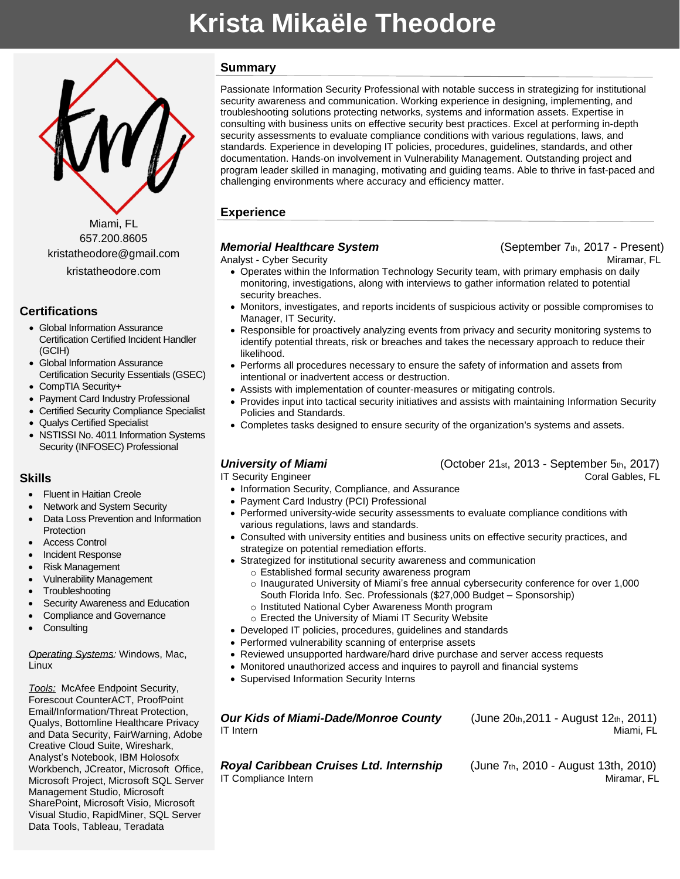# **Krista Mikaële Theodore**



Miami, FL 657.200.8605 kristatheodore@gmail.com

kristatheodore.com

# **Certifications**

- Global Information Assurance Certification Certified Incident Handler (GCIH)
- Global Information Assurance Certification Security Essentials (GSEC)
- CompTIA Security+
- Payment Card Industry Professional
- Certified Security Compliance Specialist
- Qualys Certified Specialist
- NSTISSI No. 4011 Information Systems Security (INFOSEC) Professional

### **Skills**

- **Fluent in Haitian Creole**
- Network and System Security
- Data Loss Prevention and Information **Protection**
- Access Control
- Incident Response
- Risk Management
- Vulnerability Management
- **Troubleshooting**
- Security Awareness and Education
- Compliance and Governance
- **Consulting**

#### *Operating Systems:* Windows, Mac, Linux

*Tools:* McAfee Endpoint Security, Forescout CounterACT, ProofPoint Email/Information/Threat Protection, Qualys, Bottomline Healthcare Privacy and Data Security, FairWarning, Adobe Creative Cloud Suite, Wireshark, Analyst's Notebook, IBM Holosofx Workbench, JCreator, Microsoft Office, Microsoft Project, Microsoft SQL Server Management Studio, Microsoft SharePoint, Microsoft Visio, Microsoft Visual Studio, RapidMiner, SQL Server Data Tools, Tableau, Teradata

# **Summary**

Passionate Information Security Professional with notable success in strategizing for institutional security awareness and communication. Working experience in designing, implementing, and troubleshooting solutions protecting networks, systems and information assets. Expertise in consulting with business units on effective security best practices. Excel at performing in-depth security assessments to evaluate compliance conditions with various regulations, laws, and standards. Experience in developing IT policies, procedures, guidelines, standards, and other documentation. Hands-on involvement in Vulnerability Management. Outstanding project and program leader skilled in managing, motivating and guiding teams. Able to thrive in fast-paced and challenging environments where accuracy and efficiency matter.

# **Experience**

# *Memorial Healthcare System* **Example 2017** (September 7th, 2017 - Present)

Analyst - Cyber Security Miramar, FL North Analyst - Miramar, FL North Analyst - Miramar, FL

- Operates within the Information Technology Security team, with primary emphasis on daily monitoring, investigations, along with interviews to gather information related to potential security breaches.
- Monitors, investigates, and reports incidents of suspicious activity or possible compromises to Manager, IT Security.
- Responsible for proactively analyzing events from privacy and security monitoring systems to identify potential threats, risk or breaches and takes the necessary approach to reduce their likelihood.
- Performs all procedures necessary to ensure the safety of information and assets from intentional or inadvertent access or destruction.
- Assists with implementation of counter-measures or mitigating controls.
- Provides input into tactical security initiatives and assists with maintaining Information Security Policies and Standards.
- Completes tasks designed to ensure security of the organization's systems and assets.

# *University of Miami* (October 21st, 2013 - September 5th, 2017)

IT Security Engineer Coral Gables, FL

- Information Security, Compliance, and Assurance
- Payment Card Industry (PCI) Professional
- Performed university-wide security assessments to evaluate compliance conditions with various regulations, laws and standards.
- Consulted with university entities and business units on effective security practices, and strategize on potential remediation efforts.
- Strategized for institutional security awareness and communication
	- o Established formal security awareness program
	- o Inaugurated University of Miami's free annual cybersecurity conference for over 1,000 South Florida Info. Sec. Professionals (\$27,000 Budget – Sponsorship)
	- o Instituted National Cyber Awareness Month program
	- o Erected the University of Miami IT Security Website
- Developed IT policies, procedures, guidelines and standards
- Performed vulnerability scanning of enterprise assets
- Reviewed unsupported hardware/hard drive purchase and server access requests
- Monitored unauthorized access and inquires to payroll and financial systems
- Supervised Information Security Interns

*Our Kids of Miami-Dade/Monroe County* (June 20th,2011 - August 12th, 2011) IT Intern Miami, FL

*Royal Caribbean Cruises Ltd. Internship* (June 7th, 2010 - August 13th, 2010) IT Compliance Intern **Miramar, FL**